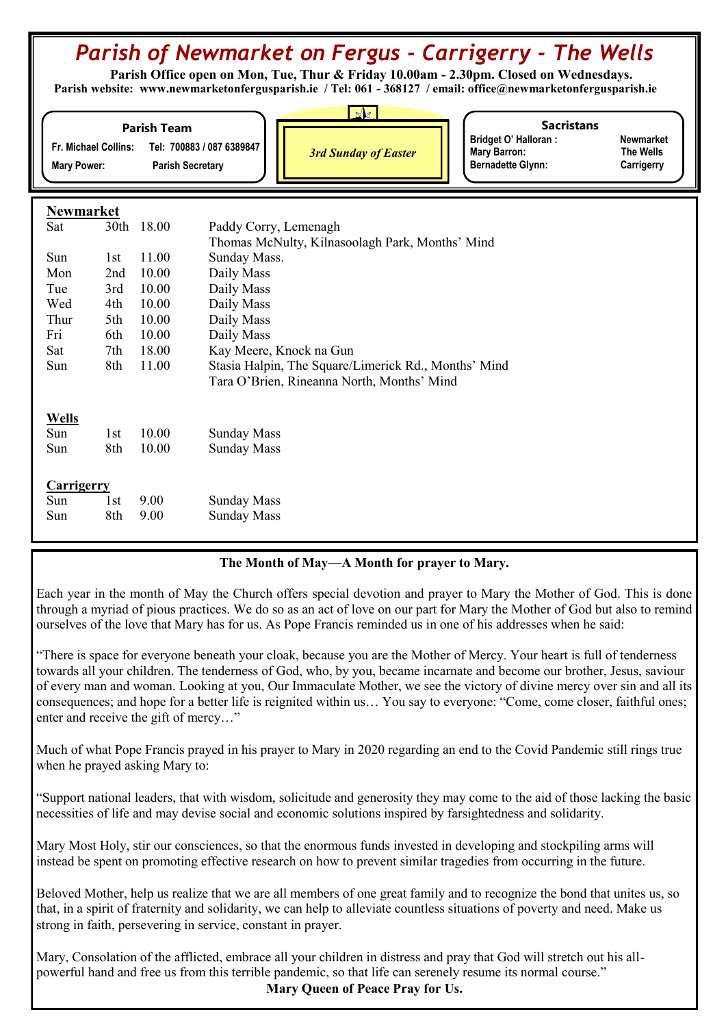## *Parish of Newmarket on Fergus - Carrigerry - The Wells*

 **Parish Office open on Mon, Tue, Thur & Friday 10.00am - 2.30pm. Closed on Wednesdays. Parish website: www.newmarketonfergusparish.ie / Tel: 061 - 368127 / email: office@newmarketonfergusparish.ie**

| <b>Parish Team</b> |
|--------------------|
|--------------------|

**Fr. Michael Collins: Tel: 700883 / 087 6389847 Mary Power: Parish Secretary**

*3rd Sunday of Easter* 

**Sacristans**

**Bridget O' Halloran : Newmarket**<br>
Mary Barron: The Wells **Mary Barron: Bernadette Glynn: Carrigerry** 

## **Newmarket**

| Sat               | 30th | 18.00 | Paddy Corry, Lemenagh                                |  |  |
|-------------------|------|-------|------------------------------------------------------|--|--|
|                   |      |       | Thomas McNulty, Kilnasoolagh Park, Months' Mind      |  |  |
| Sun               | 1st  | 11.00 | Sunday Mass.                                         |  |  |
| Mon               | 2nd  | 10.00 | Daily Mass                                           |  |  |
| Tue               | 3rd  | 10.00 | Daily Mass                                           |  |  |
| Wed               | 4th  | 10.00 | Daily Mass                                           |  |  |
| Thur              | 5th  | 10.00 | Daily Mass                                           |  |  |
| Fri               | 6th  | 10.00 | Daily Mass                                           |  |  |
| Sat               | 7th  | 18.00 | Kay Meere, Knock na Gun                              |  |  |
| Sun               | 8th  | 11.00 | Stasia Halpin, The Square/Limerick Rd., Months' Mind |  |  |
|                   |      |       | Tara O'Brien, Rineanna North, Months' Mind           |  |  |
| Wells             |      |       |                                                      |  |  |
| Sun               | 1st  | 10.00 | Sunday Mass                                          |  |  |
| Sun               | 8th  | 10.00 | <b>Sunday Mass</b>                                   |  |  |
| <b>Carrigerry</b> |      |       |                                                      |  |  |
| Sun               | 1st  | 9.00  | Sunday Mass                                          |  |  |
| Sun               | 8th  | 9.00  | Sunday Mass                                          |  |  |
|                   |      |       |                                                      |  |  |

## **The Month of May—A Month for prayer to Mary.**

Each year in the month of May the Church offers special devotion and prayer to Mary the Mother of God. This is done through a myriad of pious practices. We do so as an act of love on our part for Mary the Mother of God but also to remind ourselves of the love that Mary has for us. As Pope Francis reminded us in one of his addresses when he said:

"There is space for everyone beneath your cloak, because you are the Mother of Mercy. Your heart is full of tenderness towards all your children. The tenderness of God, who, by you, became incarnate and become our brother, Jesus, saviour of every man and woman. Looking at you, Our Immaculate Mother, we see the victory of divine mercy over sin and all its consequences; and hope for a better life is reignited within us… You say to everyone: "Come, come closer, faithful ones; enter and receive the gift of mercy…"

Much of what Pope Francis prayed in his prayer to Mary in 2020 regarding an end to the Covid Pandemic still rings true when he prayed asking Mary to:

"Support national leaders, that with wisdom, solicitude and generosity they may come to the aid of those lacking the basic necessities of life and may devise social and economic solutions inspired by farsightedness and solidarity.

Mary Most Holy, stir our consciences, so that the enormous funds invested in developing and stockpiling arms will instead be spent on promoting effective research on how to prevent similar tragedies from occurring in the future.

Beloved Mother, help us realize that we are all members of one great family and to recognize the bond that unites us, so that, in a spirit of fraternity and solidarity, we can help to alleviate countless situations of poverty and need. Make us strong in faith, persevering in service, constant in prayer.

Mary, Consolation of the afflicted, embrace all your children in distress and pray that God will stretch out his allpowerful hand and free us from this terrible pandemic, so that life can serenely resume its normal course." **Mary Queen of Peace Pray for Us.**